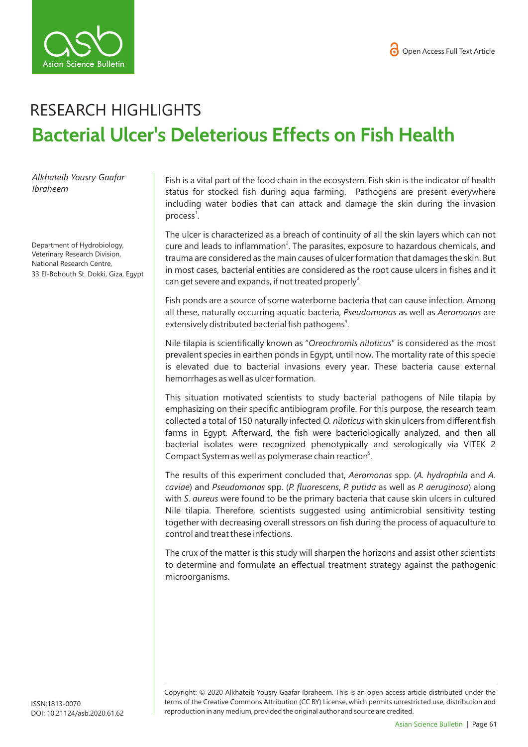

## RESEARCH HIGHLIGHTS **Bacterial Ulcer's Deleterious Effects on Fish Health**

*Alkhateib Yousry Gaafar Ibraheem* 

Department of Hydrobiology, Veterinary Research Division, National Research Centre, 33 El-Bohouth St. Dokki, Giza, Egypt Fish is a vital part of the food chain in the ecosystem. Fish skin is the indicator of health status for stocked fish during aqua farming. Pathogens are present everywhere including water bodies that can attack and damage the skin during the invasion process<sup>1</sup>.

The ulcer is characterized as a breach of continuity of all the skin layers which can not cure and leads to inflammation<sup>2</sup>. The parasites, exposure to hazardous chemicals, and trauma are considered as the main causes of ulcer formation that damages the skin. But in most cases, bacterial entities are considered as the root cause ulcers in fishes and it can get severe and expands, if not treated properly<sup>3</sup>.

Fish ponds are a source of some waterborne bacteria that can cause infection. Among all these, naturally occurring aquatic bacteria, *Pseudomonas* as well as *Aeromonas* are extensively distributed bacterial fish pathogens<sup>4</sup>.

Nile tilapia is scientifically known as "*Oreochromis niloticus*" is considered as the most prevalent species in earthen ponds in Egypt, until now. The mortality rate of this specie is elevated due to bacterial invasions every year. These bacteria cause external hemorrhages as well as ulcer formation.

This situation motivated scientists to study bacterial pathogens of Nile tilapia by emphasizing on their specific antibiogram profile. For this purpose, the research team collected a total of 150 naturally infected *O. niloticus* with skin ulcers from different fish farms in Egypt. Afterward, the fish were bacteriologically analyzed, and then all bacterial isolates were recognized phenotypically and serologically via VITEK 2 Compact System as well as polymerase chain reaction<sup>5</sup>.

The results of this experiment concluded that, *Aeromonas* spp. (*A. hydrophila* and *A. caviae*) and *Pseudomonas* spp. (*P. fluorescens*, *P. putida* as well as *P. aeruginosa*) along with *S*. *aureus* were found to be the primary bacteria that cause skin ulcers in cultured Nile tilapia. Therefore, scientists suggested using antimicrobial sensitivity testing together with decreasing overall stressors on fish during the process of aquaculture to control and treat these infections.

The crux of the matter is this study will sharpen the horizons and assist other scientists to determine and formulate an effectual treatment strategy against the pathogenic microorganisms.

Copyright: © 2020 Alkhateib Yousry Gaafar Ibraheem*.* This is an open access article distributed under the terms of the Creative Commons Attribution (CC BY) License, which permits unrestricted use, distribution and reproduction in any medium, provided the original author and source are credited.